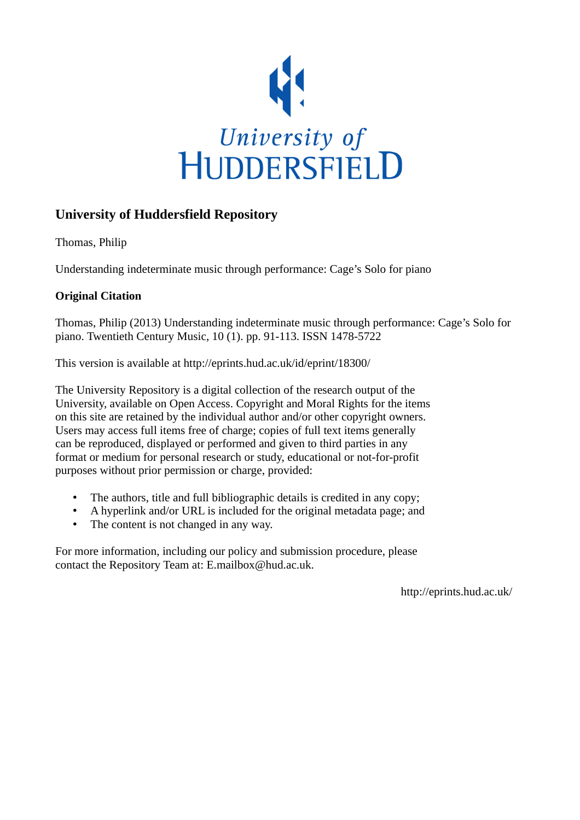

# **University of Huddersfield Repository**

Thomas, Philip

Understanding indeterminate music through performance: Cage's Solo for piano

# **Original Citation**

Thomas, Philip (2013) Understanding indeterminate music through performance: Cage's Solo for piano. Twentieth Century Music, 10 (1). pp. 91-113. ISSN 1478-5722

This version is available at http://eprints.hud.ac.uk/id/eprint/18300/

The University Repository is a digital collection of the research output of the University, available on Open Access. Copyright and Moral Rights for the items on this site are retained by the individual author and/or other copyright owners. Users may access full items free of charge; copies of full text items generally can be reproduced, displayed or performed and given to third parties in any format or medium for personal research or study, educational or not-for-profit purposes without prior permission or charge, provided:

- The authors, title and full bibliographic details is credited in any copy;
- A hyperlink and/or URL is included for the original metadata page; and
- The content is not changed in any way.

For more information, including our policy and submission procedure, please contact the Repository Team at: E.mailbox@hud.ac.uk.

http://eprints.hud.ac.uk/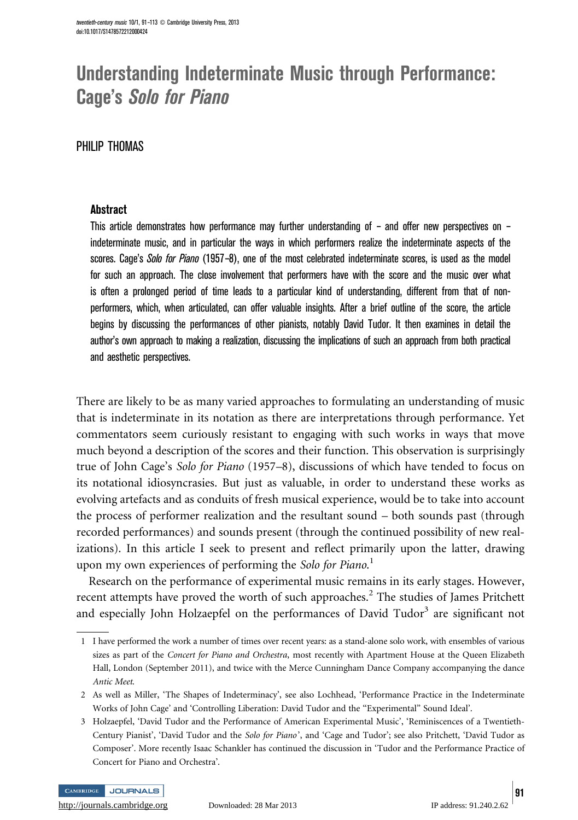# Understanding Indeterminate Music through Performance: Cage's Solo for Piano

# PHILIP THOMAS

## **Abstract**

This article demonstrates how performance may further understanding of – and offer new perspectives on – indeterminate music, and in particular the ways in which performers realize the indeterminate aspects of the scores. Cage's Solo for Piano (1957–8), one of the most celebrated indeterminate scores, is used as the model for such an approach. The close involvement that performers have with the score and the music over what is often a prolonged period of time leads to a particular kind of understanding, different from that of nonperformers, which, when articulated, can offer valuable insights. After a brief outline of the score, the article begins by discussing the performances of other pianists, notably David Tudor. It then examines in detail the author's own approach to making a realization, discussing the implications of such an approach from both practical and aesthetic perspectives.

There are likely to be as many varied approaches to formulating an understanding of music that is indeterminate in its notation as there are interpretations through performance. Yet commentators seem curiously resistant to engaging with such works in ways that move much beyond a description of the scores and their function. This observation is surprisingly true of John Cage's Solo for Piano (1957–8), discussions of which have tended to focus on its notational idiosyncrasies. But just as valuable, in order to understand these works as evolving artefacts and as conduits of fresh musical experience, would be to take into account the process of performer realization and the resultant sound – both sounds past (through recorded performances) and sounds present (through the continued possibility of new realizations). In this article I seek to present and reflect primarily upon the latter, drawing upon my own experiences of performing the Solo for Piano.<sup>1</sup>

Research on the performance of experimental music remains in its early stages. However, recent attempts have proved the worth of such approaches. $<sup>2</sup>$  The studies of James Pritchett</sup> and especially John Holzaepfel on the performances of David Tudor<sup>3</sup> are significant not

CAMBRIDGE JOURNALS



<sup>1</sup> I have performed the work a number of times over recent years: as a stand-alone solo work, with ensembles of various sizes as part of the Concert for Piano and Orchestra, most recently with Apartment House at the Queen Elizabeth Hall, London (September 2011), and twice with the Merce Cunningham Dance Company accompanying the dance Antic Meet.

<sup>2</sup> As well as Miller, 'The Shapes of Indeterminacy', see also Lochhead, 'Performance Practice in the Indeterminate Works of John Cage' and 'Controlling Liberation: David Tudor and the ''Experimental'' Sound Ideal'.

<sup>3</sup> Holzaepfel, 'David Tudor and the Performance of American Experimental Music', 'Reminiscences of a Twentieth-Century Pianist', 'David Tudor and the Solo for Piano', and 'Cage and Tudor'; see also Pritchett, 'David Tudor as Composer'. More recently Isaac Schankler has continued the discussion in 'Tudor and the Performance Practice of Concert for Piano and Orchestra'.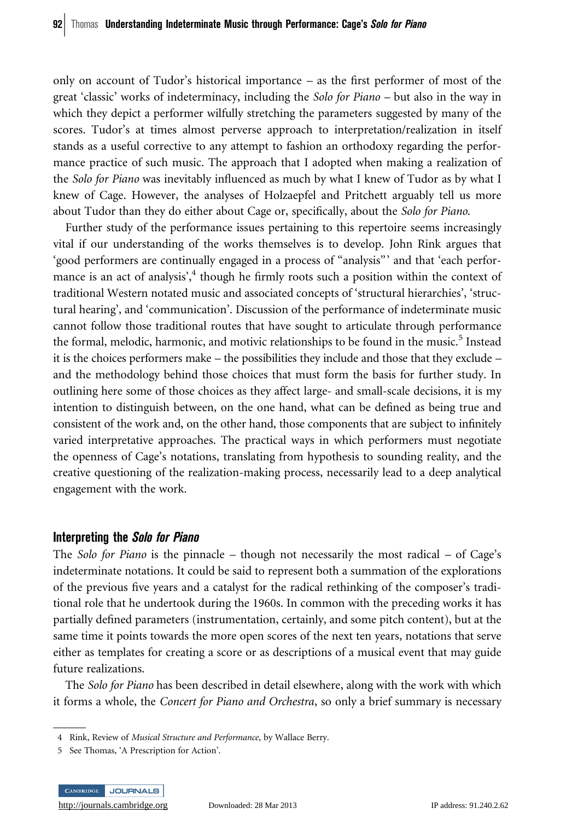only on account of Tudor's historical importance – as the first performer of most of the great 'classic' works of indeterminacy, including the Solo for Piano – but also in the way in which they depict a performer wilfully stretching the parameters suggested by many of the scores. Tudor's at times almost perverse approach to interpretation/realization in itself stands as a useful corrective to any attempt to fashion an orthodoxy regarding the performance practice of such music. The approach that I adopted when making a realization of the Solo for Piano was inevitably influenced as much by what I knew of Tudor as by what I knew of Cage. However, the analyses of Holzaepfel and Pritchett arguably tell us more about Tudor than they do either about Cage or, specifically, about the Solo for Piano.

Further study of the performance issues pertaining to this repertoire seems increasingly vital if our understanding of the works themselves is to develop. John Rink argues that 'good performers are continually engaged in a process of ''analysis''' and that 'each performance is an act of analysis',<sup>4</sup> though he firmly roots such a position within the context of traditional Western notated music and associated concepts of 'structural hierarchies', 'structural hearing', and 'communication'. Discussion of the performance of indeterminate music cannot follow those traditional routes that have sought to articulate through performance the formal, melodic, harmonic, and motivic relationships to be found in the music.<sup>5</sup> Instead it is the choices performers make – the possibilities they include and those that they exclude – and the methodology behind those choices that must form the basis for further study. In outlining here some of those choices as they affect large- and small-scale decisions, it is my intention to distinguish between, on the one hand, what can be defined as being true and consistent of the work and, on the other hand, those components that are subject to infinitely varied interpretative approaches. The practical ways in which performers must negotiate the openness of Cage's notations, translating from hypothesis to sounding reality, and the creative questioning of the realization-making process, necessarily lead to a deep analytical engagement with the work.

#### Interpreting the Solo for Piano

The Solo for Piano is the pinnacle – though not necessarily the most radical – of Cage's indeterminate notations. It could be said to represent both a summation of the explorations of the previous five years and a catalyst for the radical rethinking of the composer's traditional role that he undertook during the 1960s. In common with the preceding works it has partially defined parameters (instrumentation, certainly, and some pitch content), but at the same time it points towards the more open scores of the next ten years, notations that serve either as templates for creating a score or as descriptions of a musical event that may guide future realizations.

The Solo for Piano has been described in detail elsewhere, along with the work with which it forms a whole, the Concert for Piano and Orchestra, so only a brief summary is necessary

<sup>5</sup> See Thomas, 'A Prescription for Action'.



<sup>4</sup> Rink, Review of Musical Structure and Performance, by Wallace Berry.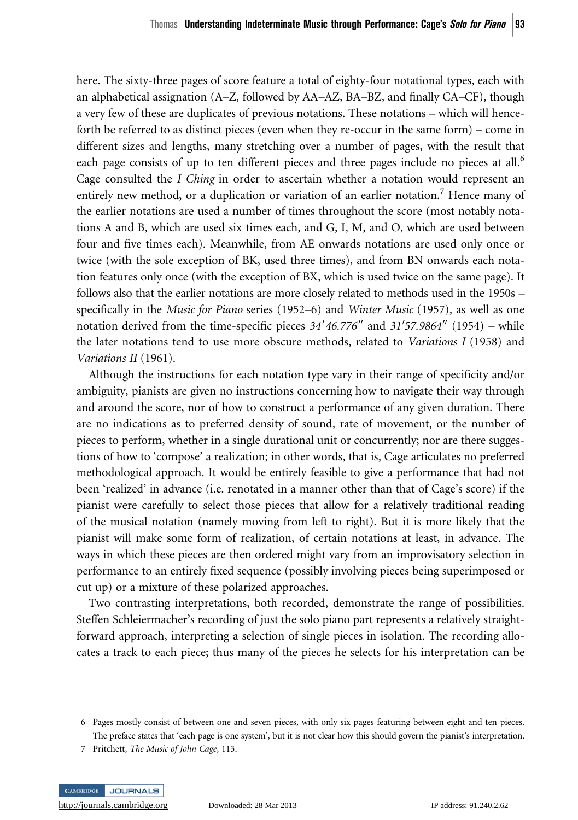here. The sixty-three pages of score feature a total of eighty-four notational types, each with an alphabetical assignation (A–Z, followed by AA–AZ, BA–BZ, and finally CA–CF), though a very few of these are duplicates of previous notations. These notations – which will henceforth be referred to as distinct pieces (even when they re-occur in the same form) – come in different sizes and lengths, many stretching over a number of pages, with the result that each page consists of up to ten different pieces and three pages include no pieces at all.<sup>6</sup> Cage consulted the I Ching in order to ascertain whether a notation would represent an entirely new method, or a duplication or variation of an earlier notation.<sup>7</sup> Hence many of the earlier notations are used a number of times throughout the score (most notably notations A and B, which are used six times each, and G, I, M, and O, which are used between four and five times each). Meanwhile, from AE onwards notations are used only once or twice (with the sole exception of BK, used three times), and from BN onwards each notation features only once (with the exception of BX, which is used twice on the same page). It follows also that the earlier notations are more closely related to methods used in the 1950s – specifically in the *Music for Piano* series (1952–6) and *Winter Music* (1957), as well as one notation derived from the time-specific pieces  $34'46.776''$  and  $31'57.9864''$  (1954) – while the later notations tend to use more obscure methods, related to Variations I (1958) and Variations II (1961).

Although the instructions for each notation type vary in their range of specificity and/or ambiguity, pianists are given no instructions concerning how to navigate their way through and around the score, nor of how to construct a performance of any given duration. There are no indications as to preferred density of sound, rate of movement, or the number of pieces to perform, whether in a single durational unit or concurrently; nor are there suggestions of how to 'compose' a realization; in other words, that is, Cage articulates no preferred methodological approach. It would be entirely feasible to give a performance that had not been 'realized' in advance (i.e. renotated in a manner other than that of Cage's score) if the pianist were carefully to select those pieces that allow for a relatively traditional reading of the musical notation (namely moving from left to right). But it is more likely that the pianist will make some form of realization, of certain notations at least, in advance. The ways in which these pieces are then ordered might vary from an improvisatory selection in performance to an entirely fixed sequence (possibly involving pieces being superimposed or cut up) or a mixture of these polarized approaches.

Two contrasting interpretations, both recorded, demonstrate the range of possibilities. Steffen Schleiermacher's recording of just the solo piano part represents a relatively straightforward approach, interpreting a selection of single pieces in isolation. The recording allocates a track to each piece; thus many of the pieces he selects for his interpretation can be

<sup>7</sup> Pritchett, The Music of John Cage, 113.



<sup>6</sup> Pages mostly consist of between one and seven pieces, with only six pages featuring between eight and ten pieces. The preface states that 'each page is one system', but it is not clear how this should govern the pianist's interpretation.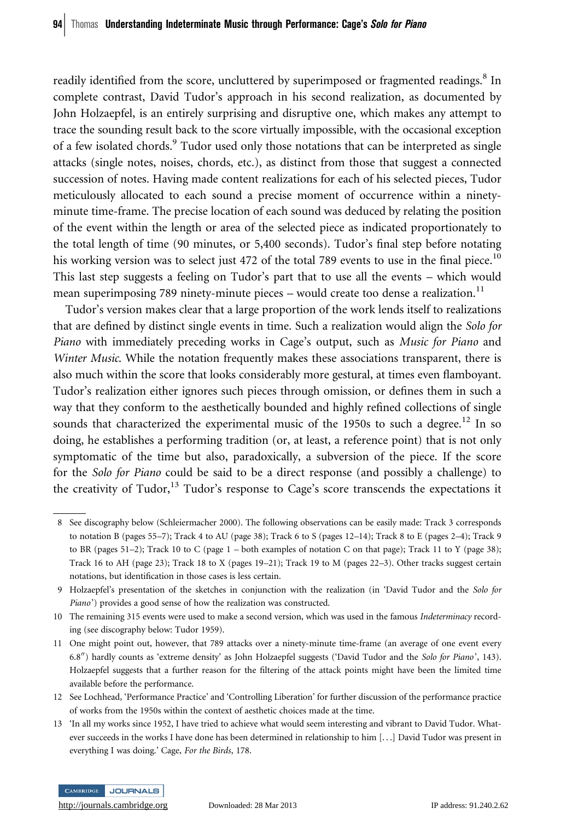readily identified from the score, uncluttered by superimposed or fragmented readings.<sup>8</sup> In complete contrast, David Tudor's approach in his second realization, as documented by John Holzaepfel, is an entirely surprising and disruptive one, which makes any attempt to trace the sounding result back to the score virtually impossible, with the occasional exception of a few isolated chords.<sup>9</sup> Tudor used only those notations that can be interpreted as single attacks (single notes, noises, chords, etc.), as distinct from those that suggest a connected succession of notes. Having made content realizations for each of his selected pieces, Tudor meticulously allocated to each sound a precise moment of occurrence within a ninetyminute time-frame. The precise location of each sound was deduced by relating the position of the event within the length or area of the selected piece as indicated proportionately to the total length of time (90 minutes, or 5,400 seconds). Tudor's final step before notating his working version was to select just 472 of the total 789 events to use in the final piece.<sup>10</sup> This last step suggests a feeling on Tudor's part that to use all the events – which would mean superimposing 789 ninety-minute pieces – would create too dense a realization.<sup>11</sup>

Tudor's version makes clear that a large proportion of the work lends itself to realizations that are defined by distinct single events in time. Such a realization would align the Solo for Piano with immediately preceding works in Cage's output, such as Music for Piano and Winter Music. While the notation frequently makes these associations transparent, there is also much within the score that looks considerably more gestural, at times even flamboyant. Tudor's realization either ignores such pieces through omission, or defines them in such a way that they conform to the aesthetically bounded and highly refined collections of single sounds that characterized the experimental music of the 1950s to such a degree.<sup>12</sup> In so doing, he establishes a performing tradition (or, at least, a reference point) that is not only symptomatic of the time but also, paradoxically, a subversion of the piece. If the score for the Solo for Piano could be said to be a direct response (and possibly a challenge) to the creativity of Tudor,<sup>13</sup> Tudor's response to Cage's score transcends the expectations it

- 12 See Lochhead, 'Performance Practice' and 'Controlling Liberation' for further discussion of the performance practice of works from the 1950s within the context of aesthetic choices made at the time.
- 13 'In all my works since 1952, I have tried to achieve what would seem interesting and vibrant to David Tudor. Whatever succeeds in the works I have done has been determined in relationship to him [. . .] David Tudor was present in everything I was doing.' Cage, For the Birds, 178.



<sup>8</sup> See discography below (Schleiermacher 2000). The following observations can be easily made: Track 3 corresponds to notation B (pages 55–7); Track 4 to AU (page 38); Track 6 to S (pages 12–14); Track 8 to E (pages 2–4); Track 9 to BR (pages 51–2); Track 10 to C (page 1 – both examples of notation C on that page); Track 11 to Y (page 38); Track 16 to AH (page 23); Track 18 to X (pages 19–21); Track 19 to M (pages 22–3). Other tracks suggest certain notations, but identification in those cases is less certain.

<sup>9</sup> Holzaepfel's presentation of the sketches in conjunction with the realization (in 'David Tudor and the Solo for Piano') provides a good sense of how the realization was constructed.

<sup>10</sup> The remaining 315 events were used to make a second version, which was used in the famous Indeterminacy recording (see discography below: Tudor 1959).

<sup>11</sup> One might point out, however, that 789 attacks over a ninety-minute time-frame (an average of one event every 6.8") hardly counts as 'extreme density' as John Holzaepfel suggests ('David Tudor and the Solo for Piano', 143). Holzaepfel suggests that a further reason for the filtering of the attack points might have been the limited time available before the performance.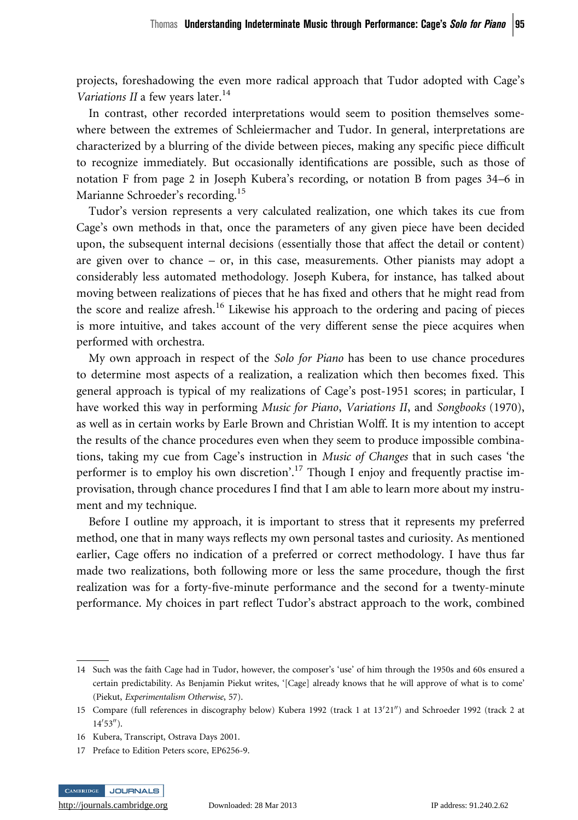projects, foreshadowing the even more radical approach that Tudor adopted with Cage's Variations II a few years later.<sup>14</sup>

In contrast, other recorded interpretations would seem to position themselves somewhere between the extremes of Schleiermacher and Tudor. In general, interpretations are characterized by a blurring of the divide between pieces, making any specific piece difficult to recognize immediately. But occasionally identifications are possible, such as those of notation F from page 2 in Joseph Kubera's recording, or notation B from pages 34–6 in Marianne Schroeder's recording.<sup>15</sup>

Tudor's version represents a very calculated realization, one which takes its cue from Cage's own methods in that, once the parameters of any given piece have been decided upon, the subsequent internal decisions (essentially those that affect the detail or content) are given over to chance – or, in this case, measurements. Other pianists may adopt a considerably less automated methodology. Joseph Kubera, for instance, has talked about moving between realizations of pieces that he has fixed and others that he might read from the score and realize afresh.<sup>16</sup> Likewise his approach to the ordering and pacing of pieces is more intuitive, and takes account of the very different sense the piece acquires when performed with orchestra.

My own approach in respect of the Solo for Piano has been to use chance procedures to determine most aspects of a realization, a realization which then becomes fixed. This general approach is typical of my realizations of Cage's post-1951 scores; in particular, I have worked this way in performing *Music for Piano, Variations II*, and *Songbooks* (1970), as well as in certain works by Earle Brown and Christian Wolff. It is my intention to accept the results of the chance procedures even when they seem to produce impossible combinations, taking my cue from Cage's instruction in Music of Changes that in such cases 'the performer is to employ his own discretion'.<sup>17</sup> Though I enjoy and frequently practise improvisation, through chance procedures I find that I am able to learn more about my instrument and my technique.

Before I outline my approach, it is important to stress that it represents my preferred method, one that in many ways reflects my own personal tastes and curiosity. As mentioned earlier, Cage offers no indication of a preferred or correct methodology. I have thus far made two realizations, both following more or less the same procedure, though the first realization was for a forty-five-minute performance and the second for a twenty-minute performance. My choices in part reflect Tudor's abstract approach to the work, combined

<sup>17</sup> Preface to Edition Peters score, EP6256-9.



<sup>14</sup> Such was the faith Cage had in Tudor, however, the composer's 'use' of him through the 1950s and 60s ensured a certain predictability. As Benjamin Piekut writes, '[Cage] already knows that he will approve of what is to come' (Piekut, Experimentalism Otherwise, 57).

<sup>15</sup> Compare (full references in discography below) Kubera 1992 (track 1 at 13'21") and Schroeder 1992 (track 2 at  $14'53'$ ).

<sup>16</sup> Kubera, Transcript, Ostrava Days 2001.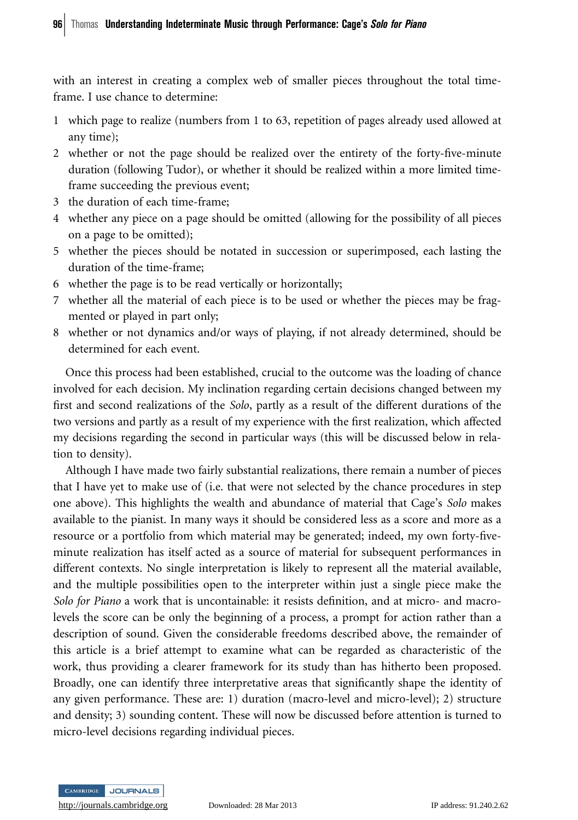with an interest in creating a complex web of smaller pieces throughout the total timeframe. I use chance to determine:

- 1 which page to realize (numbers from 1 to 63, repetition of pages already used allowed at any time);
- 2 whether or not the page should be realized over the entirety of the forty-five-minute duration (following Tudor), or whether it should be realized within a more limited timeframe succeeding the previous event;
- 3 the duration of each time-frame;
- 4 whether any piece on a page should be omitted (allowing for the possibility of all pieces on a page to be omitted);
- 5 whether the pieces should be notated in succession or superimposed, each lasting the duration of the time-frame;
- 6 whether the page is to be read vertically or horizontally;
- 7 whether all the material of each piece is to be used or whether the pieces may be fragmented or played in part only;
- 8 whether or not dynamics and/or ways of playing, if not already determined, should be determined for each event.

Once this process had been established, crucial to the outcome was the loading of chance involved for each decision. My inclination regarding certain decisions changed between my first and second realizations of the *Solo*, partly as a result of the different durations of the two versions and partly as a result of my experience with the first realization, which affected my decisions regarding the second in particular ways (this will be discussed below in relation to density).

Although I have made two fairly substantial realizations, there remain a number of pieces that I have yet to make use of (i.e. that were not selected by the chance procedures in step one above). This highlights the wealth and abundance of material that Cage's Solo makes available to the pianist. In many ways it should be considered less as a score and more as a resource or a portfolio from which material may be generated; indeed, my own forty-fiveminute realization has itself acted as a source of material for subsequent performances in different contexts. No single interpretation is likely to represent all the material available, and the multiple possibilities open to the interpreter within just a single piece make the Solo for Piano a work that is uncontainable: it resists definition, and at micro- and macrolevels the score can be only the beginning of a process, a prompt for action rather than a description of sound. Given the considerable freedoms described above, the remainder of this article is a brief attempt to examine what can be regarded as characteristic of the work, thus providing a clearer framework for its study than has hitherto been proposed. Broadly, one can identify three interpretative areas that significantly shape the identity of any given performance. These are: 1) duration (macro-level and micro-level); 2) structure and density; 3) sounding content. These will now be discussed before attention is turned to micro-level decisions regarding individual pieces.

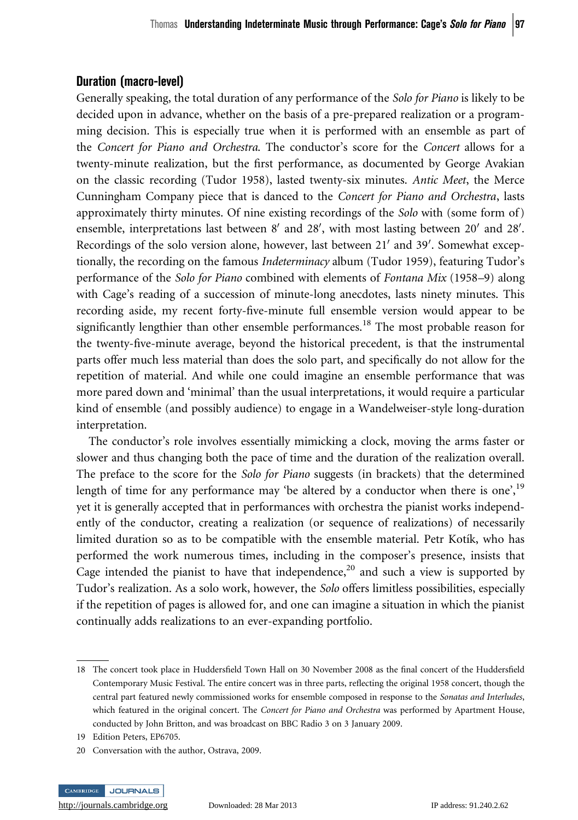# Duration (macro-level)

Generally speaking, the total duration of any performance of the Solo for Piano is likely to be decided upon in advance, whether on the basis of a pre-prepared realization or a programming decision. This is especially true when it is performed with an ensemble as part of the Concert for Piano and Orchestra. The conductor's score for the Concert allows for a twenty-minute realization, but the first performance, as documented by George Avakian on the classic recording (Tudor 1958), lasted twenty-six minutes. Antic Meet, the Merce Cunningham Company piece that is danced to the Concert for Piano and Orchestra, lasts approximately thirty minutes. Of nine existing recordings of the Solo with (some form of) ensemble, interpretations last between  $8'$  and  $28'$ , with most lasting between  $20'$  and  $28'$ . Recordings of the solo version alone, however, last between 21' and 39'. Somewhat exceptionally, the recording on the famous *Indeterminacy* album (Tudor 1959), featuring Tudor's performance of the Solo for Piano combined with elements of Fontana Mix (1958–9) along with Cage's reading of a succession of minute-long anecdotes, lasts ninety minutes. This recording aside, my recent forty-five-minute full ensemble version would appear to be significantly lengthier than other ensemble performances.<sup>18</sup> The most probable reason for the twenty-five-minute average, beyond the historical precedent, is that the instrumental parts offer much less material than does the solo part, and specifically do not allow for the repetition of material. And while one could imagine an ensemble performance that was more pared down and 'minimal' than the usual interpretations, it would require a particular kind of ensemble (and possibly audience) to engage in a Wandelweiser-style long-duration interpretation.

The conductor's role involves essentially mimicking a clock, moving the arms faster or slower and thus changing both the pace of time and the duration of the realization overall. The preface to the score for the Solo for Piano suggests (in brackets) that the determined length of time for any performance may 'be altered by a conductor when there is one', $19$ yet it is generally accepted that in performances with orchestra the pianist works independently of the conductor, creating a realization (or sequence of realizations) of necessarily limited duration so as to be compatible with the ensemble material. Petr Kotík, who has performed the work numerous times, including in the composer's presence, insists that Cage intended the pianist to have that independence, $20$  and such a view is supported by Tudor's realization. As a solo work, however, the Solo offers limitless possibilities, especially if the repetition of pages is allowed for, and one can imagine a situation in which the pianist continually adds realizations to an ever-expanding portfolio.

19 Edition Peters, EP6705.

<sup>20</sup> Conversation with the author, Ostrava, 2009.



<sup>18</sup> The concert took place in Huddersfield Town Hall on 30 November 2008 as the final concert of the Huddersfield Contemporary Music Festival. The entire concert was in three parts, reflecting the original 1958 concert, though the central part featured newly commissioned works for ensemble composed in response to the Sonatas and Interludes, which featured in the original concert. The Concert for Piano and Orchestra was performed by Apartment House, conducted by John Britton, and was broadcast on BBC Radio 3 on 3 January 2009.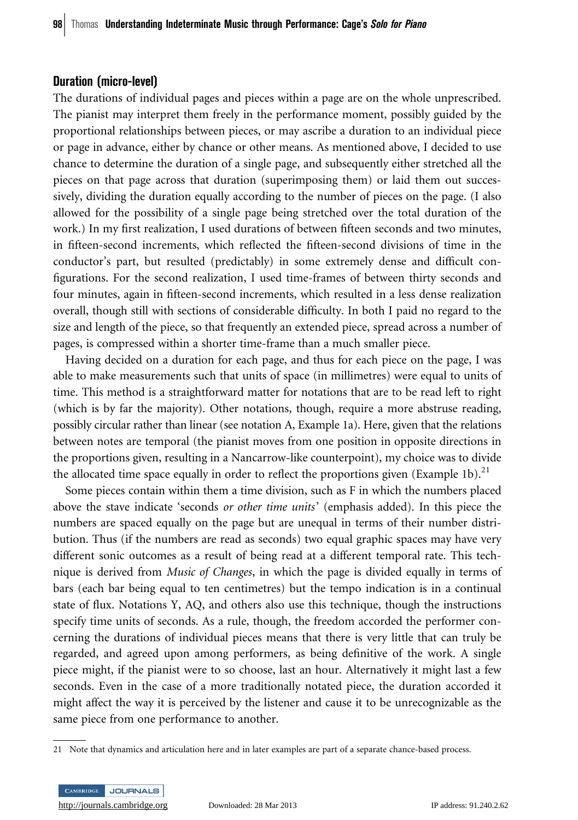#### Duration (micro-level)

The durations of individual pages and pieces within a page are on the whole unprescribed. The pianist may interpret them freely in the performance moment, possibly guided by the proportional relationships between pieces, or may ascribe a duration to an individual piece or page in advance, either by chance or other means. As mentioned above, I decided to use chance to determine the duration of a single page, and subsequently either stretched all the pieces on that page across that duration (superimposing them) or laid them out successively, dividing the duration equally according to the number of pieces on the page. (I also allowed for the possibility of a single page being stretched over the total duration of the work.) In my first realization, I used durations of between fifteen seconds and two minutes, in fifteen-second increments, which reflected the fifteen-second divisions of time in the conductor's part, but resulted (predictably) in some extremely dense and difficult configurations. For the second realization, I used time-frames of between thirty seconds and four minutes, again in fifteen-second increments, which resulted in a less dense realization overall, though still with sections of considerable difficulty. In both I paid no regard to the size and length of the piece, so that frequently an extended piece, spread across a number of pages, is compressed within a shorter time-frame than a much smaller piece.

Having decided on a duration for each page, and thus for each piece on the page, I was able to make measurements such that units of space (in millimetres) were equal to units of time. This method is a straightforward matter for notations that are to be read left to right (which is by far the majority). Other notations, though, require a more abstruse reading, possibly circular rather than linear (see notation A, Example 1a). Here, given that the relations between notes are temporal (the pianist moves from one position in opposite directions in the proportions given, resulting in a Nancarrow-like counterpoint), my choice was to divide the allocated time space equally in order to reflect the proportions given (Example 1b).<sup>21</sup>

Some pieces contain within them a time division, such as F in which the numbers placed above the stave indicate 'seconds or other time units' (emphasis added). In this piece the numbers are spaced equally on the page but are unequal in terms of their number distribution. Thus (if the numbers are read as seconds) two equal graphic spaces may have very different sonic outcomes as a result of being read at a different temporal rate. This technique is derived from *Music of Changes*, in which the page is divided equally in terms of bars (each bar being equal to ten centimetres) but the tempo indication is in a continual state of flux. Notations Y, AQ, and others also use this technique, though the instructions specify time units of seconds. As a rule, though, the freedom accorded the performer concerning the durations of individual pieces means that there is very little that can truly be regarded, and agreed upon among performers, as being definitive of the work. A single piece might, if the pianist were to so choose, last an hour. Alternatively it might last a few seconds. Even in the case of a more traditionally notated piece, the duration accorded it might affect the way it is perceived by the listener and cause it to be unrecognizable as the same piece from one performance to another.

<sup>21</sup> Note that dynamics and articulation here and in later examples are part of a separate chance-based process.

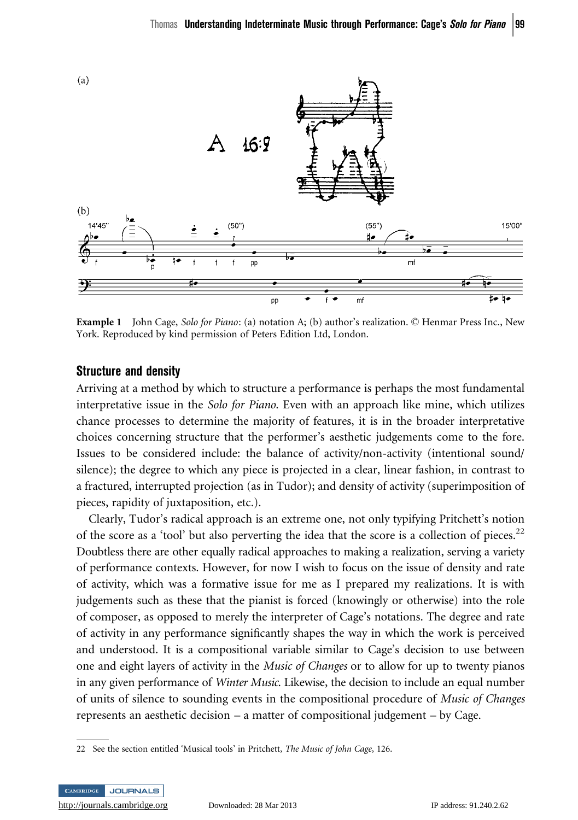

Example 1 John Cage, Solo for Piano: (a) notation A; (b) author's realization. © Henmar Press Inc., New York. Reproduced by kind permission of Peters Edition Ltd, London.

#### Structure and density

Arriving at a method by which to structure a performance is perhaps the most fundamental interpretative issue in the Solo for Piano. Even with an approach like mine, which utilizes chance processes to determine the majority of features, it is in the broader interpretative choices concerning structure that the performer's aesthetic judgements come to the fore. Issues to be considered include: the balance of activity/non-activity (intentional sound/ silence); the degree to which any piece is projected in a clear, linear fashion, in contrast to a fractured, interrupted projection (as in Tudor); and density of activity (superimposition of pieces, rapidity of juxtaposition, etc.).

Clearly, Tudor's radical approach is an extreme one, not only typifying Pritchett's notion of the score as a 'tool' but also perverting the idea that the score is a collection of pieces.<sup>22</sup> Doubtless there are other equally radical approaches to making a realization, serving a variety of performance contexts. However, for now I wish to focus on the issue of density and rate of activity, which was a formative issue for me as I prepared my realizations. It is with judgements such as these that the pianist is forced (knowingly or otherwise) into the role of composer, as opposed to merely the interpreter of Cage's notations. The degree and rate of activity in any performance significantly shapes the way in which the work is perceived and understood. It is a compositional variable similar to Cage's decision to use between one and eight layers of activity in the Music of Changes or to allow for up to twenty pianos in any given performance of *Winter Music*. Likewise, the decision to include an equal number of units of silence to sounding events in the compositional procedure of Music of Changes represents an aesthetic decision – a matter of compositional judgement – by Cage.

<sup>22</sup> See the section entitled 'Musical tools' in Pritchett, The Music of John Cage, 126.

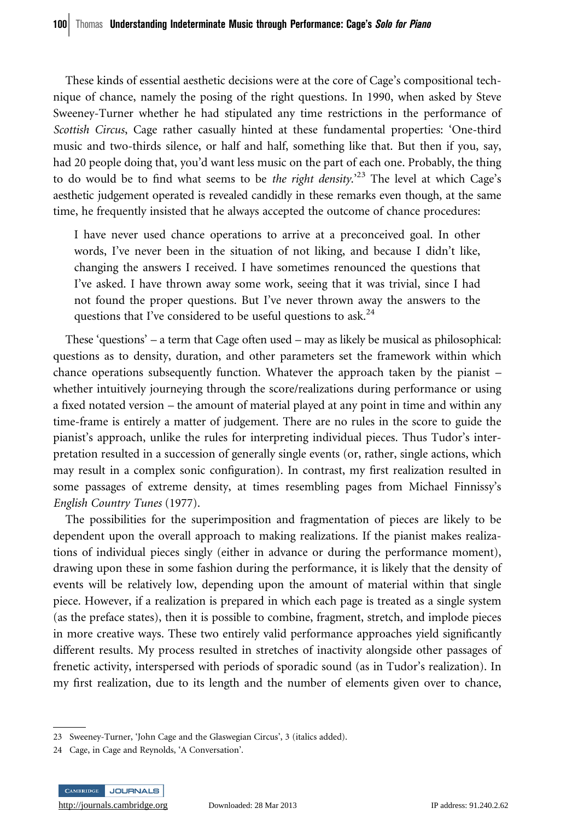These kinds of essential aesthetic decisions were at the core of Cage's compositional technique of chance, namely the posing of the right questions. In 1990, when asked by Steve Sweeney-Turner whether he had stipulated any time restrictions in the performance of Scottish Circus, Cage rather casually hinted at these fundamental properties: 'One-third music and two-thirds silence, or half and half, something like that. But then if you, say, had 20 people doing that, you'd want less music on the part of each one. Probably, the thing to do would be to find what seems to be the right density.<sup>23</sup> The level at which Cage's aesthetic judgement operated is revealed candidly in these remarks even though, at the same time, he frequently insisted that he always accepted the outcome of chance procedures:

I have never used chance operations to arrive at a preconceived goal. In other words, I've never been in the situation of not liking, and because I didn't like, changing the answers I received. I have sometimes renounced the questions that I've asked. I have thrown away some work, seeing that it was trivial, since I had not found the proper questions. But I've never thrown away the answers to the questions that I've considered to be useful questions to ask.<sup>24</sup>

These 'questions' – a term that Cage often used – may as likely be musical as philosophical: questions as to density, duration, and other parameters set the framework within which chance operations subsequently function. Whatever the approach taken by the pianist – whether intuitively journeying through the score/realizations during performance or using a fixed notated version – the amount of material played at any point in time and within any time-frame is entirely a matter of judgement. There are no rules in the score to guide the pianist's approach, unlike the rules for interpreting individual pieces. Thus Tudor's interpretation resulted in a succession of generally single events (or, rather, single actions, which may result in a complex sonic configuration). In contrast, my first realization resulted in some passages of extreme density, at times resembling pages from Michael Finnissy's English Country Tunes (1977).

The possibilities for the superimposition and fragmentation of pieces are likely to be dependent upon the overall approach to making realizations. If the pianist makes realizations of individual pieces singly (either in advance or during the performance moment), drawing upon these in some fashion during the performance, it is likely that the density of events will be relatively low, depending upon the amount of material within that single piece. However, if a realization is prepared in which each page is treated as a single system (as the preface states), then it is possible to combine, fragment, stretch, and implode pieces in more creative ways. These two entirely valid performance approaches yield significantly different results. My process resulted in stretches of inactivity alongside other passages of frenetic activity, interspersed with periods of sporadic sound (as in Tudor's realization). In my first realization, due to its length and the number of elements given over to chance,

<sup>24</sup> Cage, in Cage and Reynolds, 'A Conversation'.



<sup>23</sup> Sweeney-Turner, 'John Cage and the Glaswegian Circus', 3 (italics added).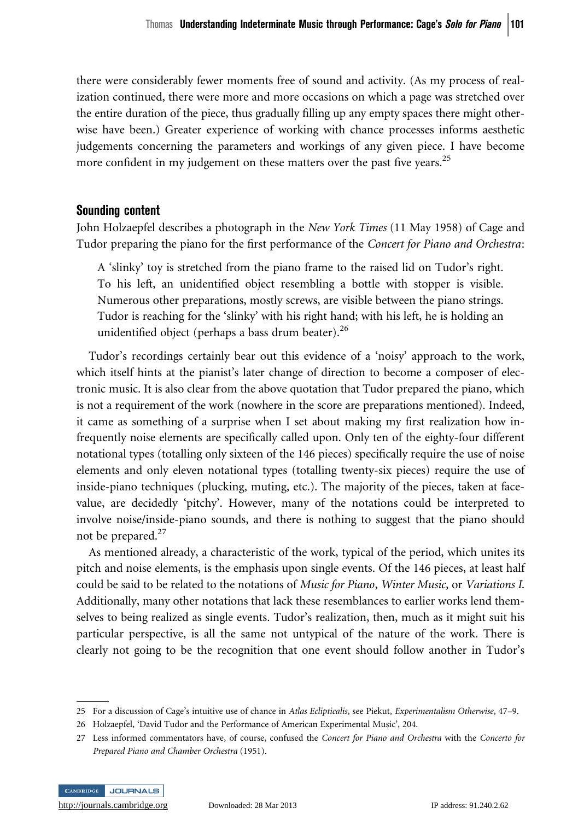there were considerably fewer moments free of sound and activity. (As my process of realization continued, there were more and more occasions on which a page was stretched over the entire duration of the piece, thus gradually filling up any empty spaces there might otherwise have been.) Greater experience of working with chance processes informs aesthetic judgements concerning the parameters and workings of any given piece. I have become more confident in my judgement on these matters over the past five years.<sup>25</sup>

## Sounding content

John Holzaepfel describes a photograph in the New York Times (11 May 1958) of Cage and Tudor preparing the piano for the first performance of the Concert for Piano and Orchestra:

A 'slinky' toy is stretched from the piano frame to the raised lid on Tudor's right. To his left, an unidentified object resembling a bottle with stopper is visible. Numerous other preparations, mostly screws, are visible between the piano strings. Tudor is reaching for the 'slinky' with his right hand; with his left, he is holding an unidentified object (perhaps a bass drum beater). $^{26}$ 

Tudor's recordings certainly bear out this evidence of a 'noisy' approach to the work, which itself hints at the pianist's later change of direction to become a composer of electronic music. It is also clear from the above quotation that Tudor prepared the piano, which is not a requirement of the work (nowhere in the score are preparations mentioned). Indeed, it came as something of a surprise when I set about making my first realization how infrequently noise elements are specifically called upon. Only ten of the eighty-four different notational types (totalling only sixteen of the 146 pieces) specifically require the use of noise elements and only eleven notational types (totalling twenty-six pieces) require the use of inside-piano techniques (plucking, muting, etc.). The majority of the pieces, taken at facevalue, are decidedly 'pitchy'. However, many of the notations could be interpreted to involve noise/inside-piano sounds, and there is nothing to suggest that the piano should not be prepared.<sup>27</sup>

As mentioned already, a characteristic of the work, typical of the period, which unites its pitch and noise elements, is the emphasis upon single events. Of the 146 pieces, at least half could be said to be related to the notations of Music for Piano, Winter Music, or Variations I. Additionally, many other notations that lack these resemblances to earlier works lend themselves to being realized as single events. Tudor's realization, then, much as it might suit his particular perspective, is all the same not untypical of the nature of the work. There is clearly not going to be the recognition that one event should follow another in Tudor's

<sup>27</sup> Less informed commentators have, of course, confused the Concert for Piano and Orchestra with the Concerto for Prepared Piano and Chamber Orchestra (1951).



<sup>25</sup> For a discussion of Cage's intuitive use of chance in Atlas Eclipticalis, see Piekut, Experimentalism Otherwise, 47–9.

<sup>26</sup> Holzaepfel, 'David Tudor and the Performance of American Experimental Music', 204.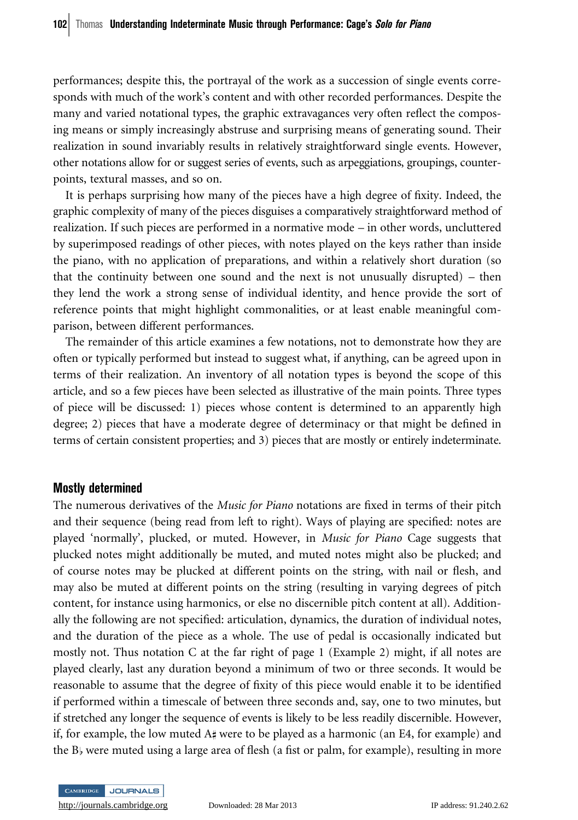performances; despite this, the portrayal of the work as a succession of single events corresponds with much of the work's content and with other recorded performances. Despite the many and varied notational types, the graphic extravagances very often reflect the composing means or simply increasingly abstruse and surprising means of generating sound. Their realization in sound invariably results in relatively straightforward single events. However, other notations allow for or suggest series of events, such as arpeggiations, groupings, counterpoints, textural masses, and so on.

It is perhaps surprising how many of the pieces have a high degree of fixity. Indeed, the graphic complexity of many of the pieces disguises a comparatively straightforward method of realization. If such pieces are performed in a normative mode – in other words, uncluttered by superimposed readings of other pieces, with notes played on the keys rather than inside the piano, with no application of preparations, and within a relatively short duration (so that the continuity between one sound and the next is not unusually disrupted) – then they lend the work a strong sense of individual identity, and hence provide the sort of reference points that might highlight commonalities, or at least enable meaningful comparison, between different performances.

The remainder of this article examines a few notations, not to demonstrate how they are often or typically performed but instead to suggest what, if anything, can be agreed upon in terms of their realization. An inventory of all notation types is beyond the scope of this article, and so a few pieces have been selected as illustrative of the main points. Three types of piece will be discussed: 1) pieces whose content is determined to an apparently high degree; 2) pieces that have a moderate degree of determinacy or that might be defined in terms of certain consistent properties; and 3) pieces that are mostly or entirely indeterminate.

#### Mostly determined

The numerous derivatives of the *Music for Piano* notations are fixed in terms of their pitch and their sequence (being read from left to right). Ways of playing are specified: notes are played 'normally', plucked, or muted. However, in Music for Piano Cage suggests that plucked notes might additionally be muted, and muted notes might also be plucked; and of course notes may be plucked at different points on the string, with nail or flesh, and may also be muted at different points on the string (resulting in varying degrees of pitch content, for instance using harmonics, or else no discernible pitch content at all). Additionally the following are not specified: articulation, dynamics, the duration of individual notes, and the duration of the piece as a whole. The use of pedal is occasionally indicated but mostly not. Thus notation C at the far right of page 1 (Example 2) might, if all notes are played clearly, last any duration beyond a minimum of two or three seconds. It would be reasonable to assume that the degree of fixity of this piece would enable it to be identified if performed within a timescale of between three seconds and, say, one to two minutes, but if stretched any longer the sequence of events is likely to be less readily discernible. However, if, for example, the low muted A# were to be played as a harmonic (an E4, for example) and the  $B_{\flat}$  were muted using a large area of flesh (a fist or palm, for example), resulting in more

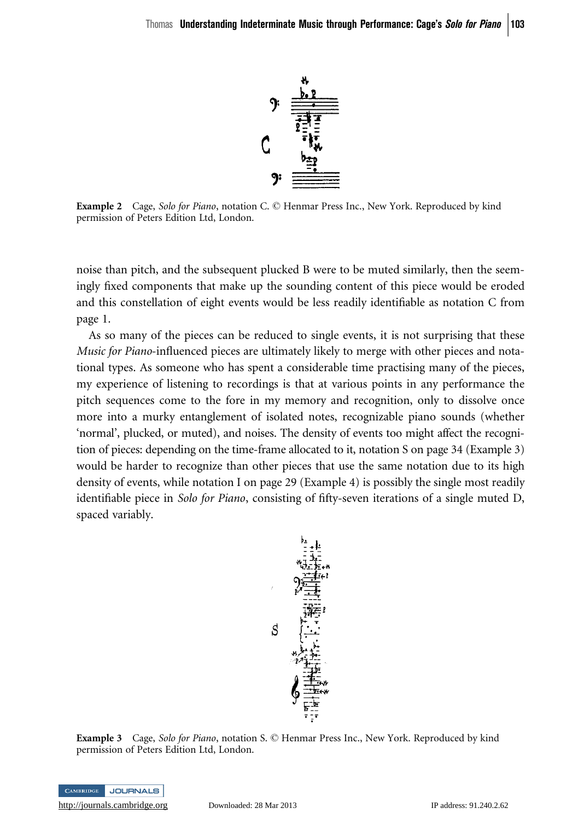

Example 2 Cage, Solo for Piano, notation C. © Henmar Press Inc., New York. Reproduced by kind permission of Peters Edition Ltd, London.

noise than pitch, and the subsequent plucked B were to be muted similarly, then the seemingly fixed components that make up the sounding content of this piece would be eroded and this constellation of eight events would be less readily identifiable as notation C from page 1.

As so many of the pieces can be reduced to single events, it is not surprising that these Music for Piano-influenced pieces are ultimately likely to merge with other pieces and notational types. As someone who has spent a considerable time practising many of the pieces, my experience of listening to recordings is that at various points in any performance the pitch sequences come to the fore in my memory and recognition, only to dissolve once more into a murky entanglement of isolated notes, recognizable piano sounds (whether 'normal', plucked, or muted), and noises. The density of events too might affect the recognition of pieces: depending on the time-frame allocated to it, notation S on page 34 (Example 3) would be harder to recognize than other pieces that use the same notation due to its high density of events, while notation I on page 29 (Example 4) is possibly the single most readily identifiable piece in Solo for Piano, consisting of fifty-seven iterations of a single muted D, spaced variably.



**Example 3** Cage, Solo for Piano, notation S. © Henmar Press Inc., New York. Reproduced by kind permission of Peters Edition Ltd, London.

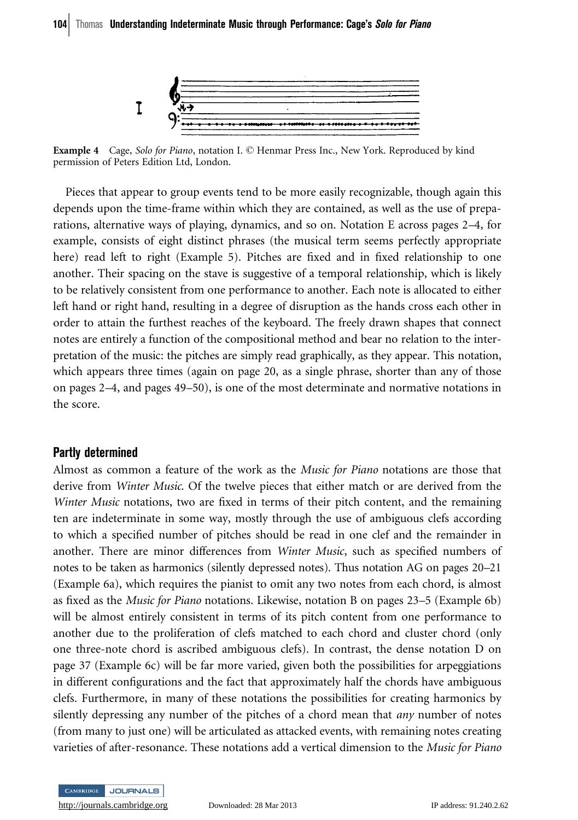

Example 4 Cage, Solo for Piano, notation I. © Henmar Press Inc., New York. Reproduced by kind permission of Peters Edition Ltd, London.

Pieces that appear to group events tend to be more easily recognizable, though again this depends upon the time-frame within which they are contained, as well as the use of preparations, alternative ways of playing, dynamics, and so on. Notation E across pages 2–4, for example, consists of eight distinct phrases (the musical term seems perfectly appropriate here) read left to right (Example 5). Pitches are fixed and in fixed relationship to one another. Their spacing on the stave is suggestive of a temporal relationship, which is likely to be relatively consistent from one performance to another. Each note is allocated to either left hand or right hand, resulting in a degree of disruption as the hands cross each other in order to attain the furthest reaches of the keyboard. The freely drawn shapes that connect notes are entirely a function of the compositional method and bear no relation to the interpretation of the music: the pitches are simply read graphically, as they appear. This notation, which appears three times (again on page 20, as a single phrase, shorter than any of those on pages 2–4, and pages 49–50), is one of the most determinate and normative notations in the score.

#### Partly determined

Almost as common a feature of the work as the Music for Piano notations are those that derive from Winter Music. Of the twelve pieces that either match or are derived from the Winter Music notations, two are fixed in terms of their pitch content, and the remaining ten are indeterminate in some way, mostly through the use of ambiguous clefs according to which a specified number of pitches should be read in one clef and the remainder in another. There are minor differences from Winter Music, such as specified numbers of notes to be taken as harmonics (silently depressed notes). Thus notation AG on pages 20–21 (Example 6a), which requires the pianist to omit any two notes from each chord, is almost as fixed as the Music for Piano notations. Likewise, notation B on pages 23–5 (Example 6b) will be almost entirely consistent in terms of its pitch content from one performance to another due to the proliferation of clefs matched to each chord and cluster chord (only one three-note chord is ascribed ambiguous clefs). In contrast, the dense notation D on page 37 (Example 6c) will be far more varied, given both the possibilities for arpeggiations in different configurations and the fact that approximately half the chords have ambiguous clefs. Furthermore, in many of these notations the possibilities for creating harmonics by silently depressing any number of the pitches of a chord mean that *any* number of notes (from many to just one) will be articulated as attacked events, with remaining notes creating varieties of after-resonance. These notations add a vertical dimension to the Music for Piano

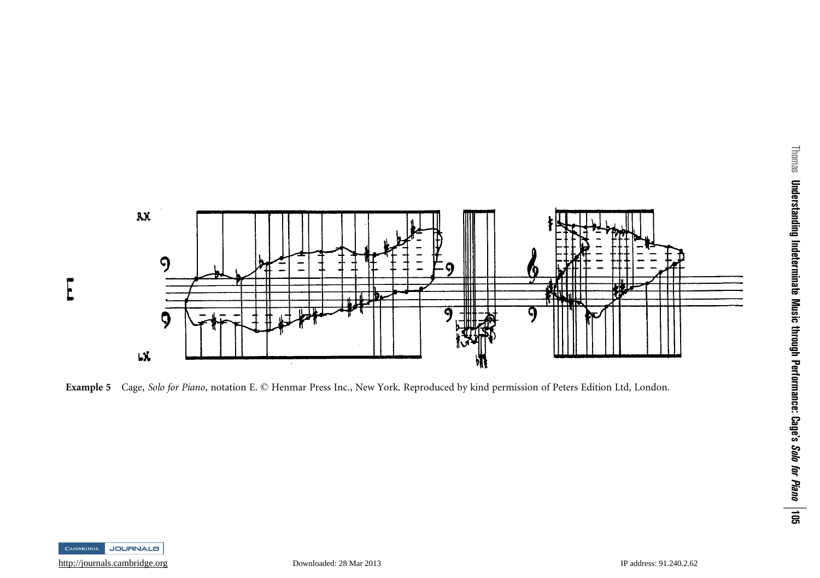

Example 5 Cage, Solo for Piano, notation E. © Henmar Press Inc., New York. Reproduced by kind permission of Peters Edition Ltd, London.

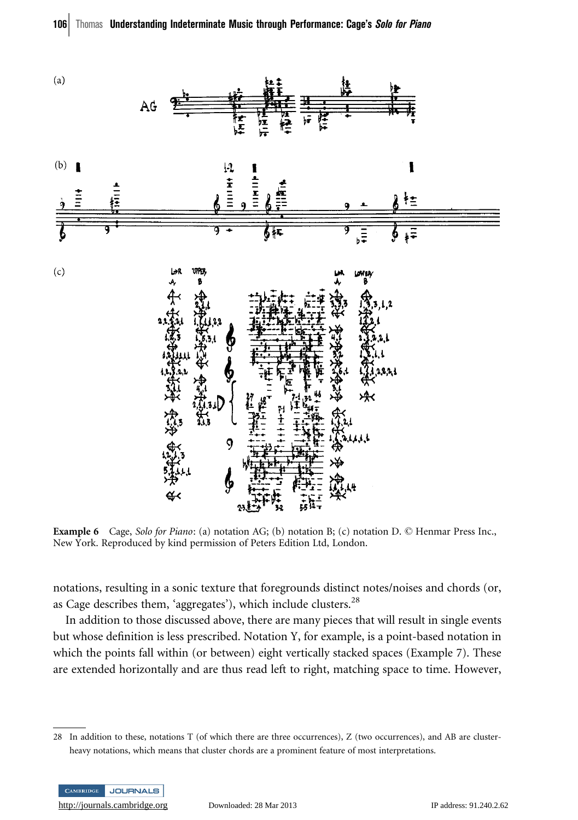

**Example 6** Cage, Solo for Piano: (a) notation AG; (b) notation B; (c) notation D.  $\heartsuit$  Henmar Press Inc., New York. Reproduced by kind permission of Peters Edition Ltd, London.

notations, resulting in a sonic texture that foregrounds distinct notes/noises and chords (or, as Cage describes them, 'aggregates'), which include clusters.<sup>28</sup>

In addition to those discussed above, there are many pieces that will result in single events but whose definition is less prescribed. Notation Y, for example, is a point-based notation in which the points fall within (or between) eight vertically stacked spaces (Example 7). These are extended horizontally and are thus read left to right, matching space to time. However,

<sup>28</sup> In addition to these, notations T (of which there are three occurrences), Z (two occurrences), and AB are clusterheavy notations, which means that cluster chords are a prominent feature of most interpretations.

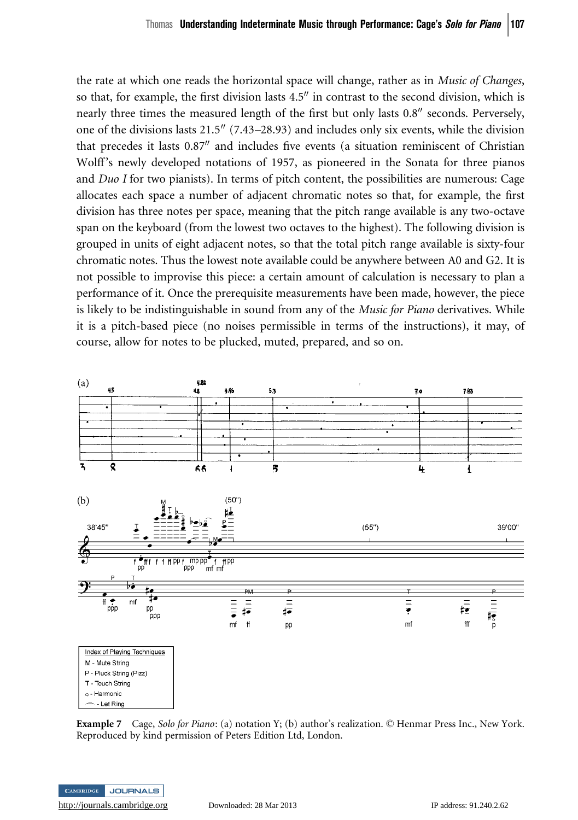the rate at which one reads the horizontal space will change, rather as in Music of Changes, so that, for example, the first division lasts  $4.5$ <sup>"</sup> in contrast to the second division, which is nearly three times the measured length of the first but only lasts 0.8" seconds. Perversely, one of the divisions lasts 21.5" (7.43–28.93) and includes only six events, while the division that precedes it lasts  $0.87<sup>′</sup>$  and includes five events (a situation reminiscent of Christian Wolff's newly developed notations of 1957, as pioneered in the Sonata for three pianos and  $Du$  I for two pianists). In terms of pitch content, the possibilities are numerous: Cage allocates each space a number of adjacent chromatic notes so that, for example, the first division has three notes per space, meaning that the pitch range available is any two-octave span on the keyboard (from the lowest two octaves to the highest). The following division is grouped in units of eight adjacent notes, so that the total pitch range available is sixty-four chromatic notes. Thus the lowest note available could be anywhere between A0 and G2. It is not possible to improvise this piece: a certain amount of calculation is necessary to plan a performance of it. Once the prerequisite measurements have been made, however, the piece is likely to be indistinguishable in sound from any of the *Music for Piano* derivatives. While it is a pitch-based piece (no noises permissible in terms of the instructions), it may, of course, allow for notes to be plucked, muted, prepared, and so on.



Example 7 Cage, Solo for Piano: (a) notation Y; (b) author's realization. © Henmar Press Inc., New York. Reproduced by kind permission of Peters Edition Ltd, London.

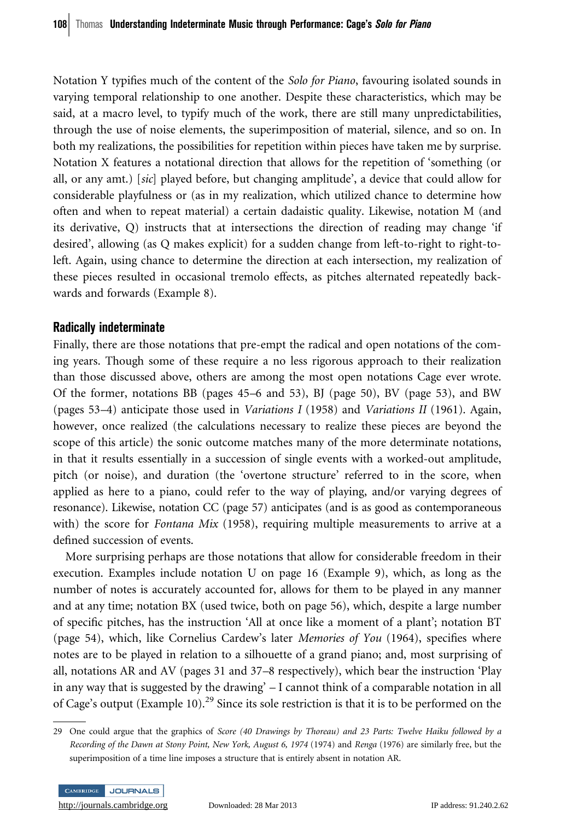Notation Y typifies much of the content of the Solo for Piano, favouring isolated sounds in varying temporal relationship to one another. Despite these characteristics, which may be said, at a macro level, to typify much of the work, there are still many unpredictabilities, through the use of noise elements, the superimposition of material, silence, and so on. In both my realizations, the possibilities for repetition within pieces have taken me by surprise. Notation X features a notational direction that allows for the repetition of 'something (or all, or any amt.) [sic] played before, but changing amplitude', a device that could allow for considerable playfulness or (as in my realization, which utilized chance to determine how often and when to repeat material) a certain dadaistic quality. Likewise, notation M (and its derivative, Q) instructs that at intersections the direction of reading may change 'if desired', allowing (as Q makes explicit) for a sudden change from left-to-right to right-toleft. Again, using chance to determine the direction at each intersection, my realization of these pieces resulted in occasional tremolo effects, as pitches alternated repeatedly backwards and forwards (Example 8).

## Radically indeterminate

Finally, there are those notations that pre-empt the radical and open notations of the coming years. Though some of these require a no less rigorous approach to their realization than those discussed above, others are among the most open notations Cage ever wrote. Of the former, notations BB (pages 45–6 and 53), BJ (page 50), BV (page 53), and BW (pages 53–4) anticipate those used in Variations I (1958) and Variations II (1961). Again, however, once realized (the calculations necessary to realize these pieces are beyond the scope of this article) the sonic outcome matches many of the more determinate notations, in that it results essentially in a succession of single events with a worked-out amplitude, pitch (or noise), and duration (the 'overtone structure' referred to in the score, when applied as here to a piano, could refer to the way of playing, and/or varying degrees of resonance). Likewise, notation CC (page 57) anticipates (and is as good as contemporaneous with) the score for *Fontana Mix* (1958), requiring multiple measurements to arrive at a defined succession of events.

More surprising perhaps are those notations that allow for considerable freedom in their execution. Examples include notation U on page 16 (Example 9), which, as long as the number of notes is accurately accounted for, allows for them to be played in any manner and at any time; notation BX (used twice, both on page 56), which, despite a large number of specific pitches, has the instruction 'All at once like a moment of a plant'; notation BT (page 54), which, like Cornelius Cardew's later *Memories of You* (1964), specifies where notes are to be played in relation to a silhouette of a grand piano; and, most surprising of all, notations AR and AV (pages 31 and 37–8 respectively), which bear the instruction 'Play in any way that is suggested by the drawing' – I cannot think of a comparable notation in all of Cage's output (Example 10).<sup>29</sup> Since its sole restriction is that it is to be performed on the

<sup>29</sup> One could argue that the graphics of Score (40 Drawings by Thoreau) and 23 Parts: Twelve Haiku followed by a Recording of the Dawn at Stony Point, New York, August 6, 1974 (1974) and Renga (1976) are similarly free, but the superimposition of a time line imposes a structure that is entirely absent in notation AR.

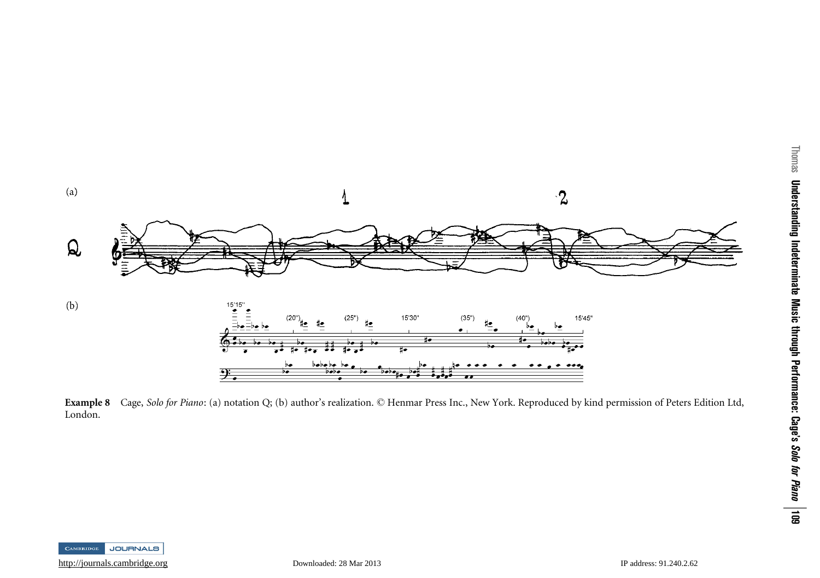

Example 8 Cage, Solo for Piano: (a) notation Q; (b) author's realization. © Henmar Press Inc., New York. Reproduced by kind permission of Peters Edition Ltd, London.

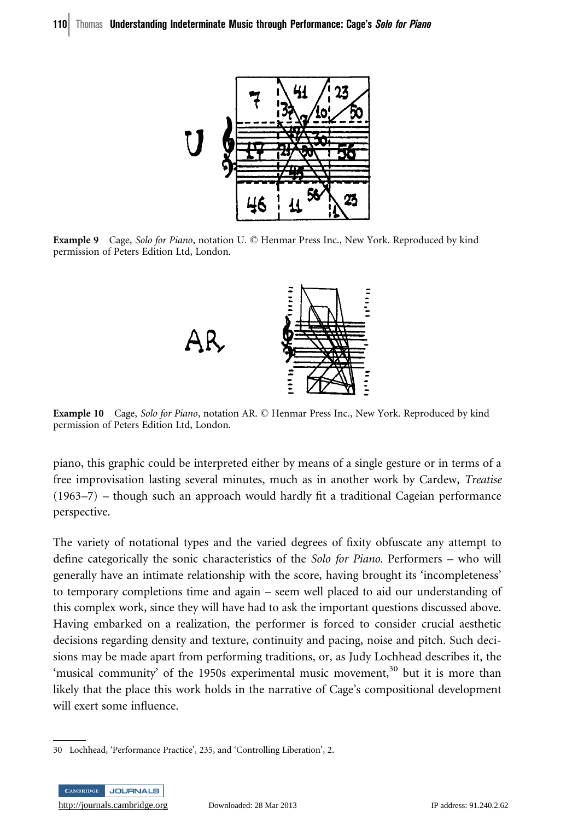

Example 9 Cage, Solo for Piano, notation U. © Henmar Press Inc., New York. Reproduced by kind permission of Peters Edition Ltd, London.



Example 10 Cage, Solo for Piano, notation AR. © Henmar Press Inc., New York. Reproduced by kind permission of Peters Edition Ltd, London.

piano, this graphic could be interpreted either by means of a single gesture or in terms of a free improvisation lasting several minutes, much as in another work by Cardew, Treatise (1963–7) – though such an approach would hardly fit a traditional Cageian performance perspective.

The variety of notational types and the varied degrees of fixity obfuscate any attempt to define categorically the sonic characteristics of the Solo for Piano. Performers – who will generally have an intimate relationship with the score, having brought its 'incompleteness' to temporary completions time and again – seem well placed to aid our understanding of this complex work, since they will have had to ask the important questions discussed above. Having embarked on a realization, the performer is forced to consider crucial aesthetic decisions regarding density and texture, continuity and pacing, noise and pitch. Such decisions may be made apart from performing traditions, or, as Judy Lochhead describes it, the 'musical community' of the 1950s experimental music movement, $30$  but it is more than likely that the place this work holds in the narrative of Cage's compositional development will exert some influence.

<sup>30</sup> Lochhead, 'Performance Practice', 235, and 'Controlling Liberation', 2.

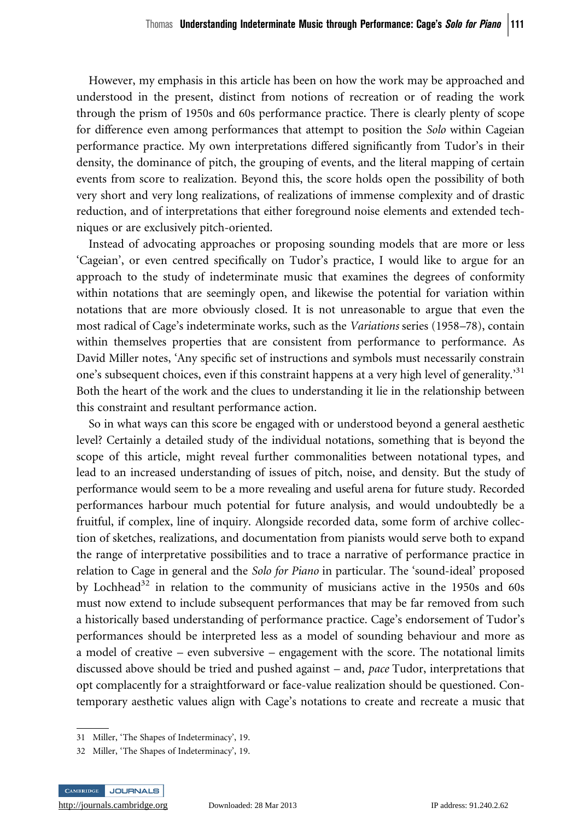However, my emphasis in this article has been on how the work may be approached and understood in the present, distinct from notions of recreation or of reading the work through the prism of 1950s and 60s performance practice. There is clearly plenty of scope for difference even among performances that attempt to position the Solo within Cageian performance practice. My own interpretations differed significantly from Tudor's in their density, the dominance of pitch, the grouping of events, and the literal mapping of certain events from score to realization. Beyond this, the score holds open the possibility of both very short and very long realizations, of realizations of immense complexity and of drastic reduction, and of interpretations that either foreground noise elements and extended techniques or are exclusively pitch-oriented.

Instead of advocating approaches or proposing sounding models that are more or less 'Cageian', or even centred specifically on Tudor's practice, I would like to argue for an approach to the study of indeterminate music that examines the degrees of conformity within notations that are seemingly open, and likewise the potential for variation within notations that are more obviously closed. It is not unreasonable to argue that even the most radical of Cage's indeterminate works, such as the Variations series (1958–78), contain within themselves properties that are consistent from performance to performance. As David Miller notes, 'Any specific set of instructions and symbols must necessarily constrain one's subsequent choices, even if this constraint happens at a very high level of generality.<sup>31</sup> Both the heart of the work and the clues to understanding it lie in the relationship between this constraint and resultant performance action.

So in what ways can this score be engaged with or understood beyond a general aesthetic level? Certainly a detailed study of the individual notations, something that is beyond the scope of this article, might reveal further commonalities between notational types, and lead to an increased understanding of issues of pitch, noise, and density. But the study of performance would seem to be a more revealing and useful arena for future study. Recorded performances harbour much potential for future analysis, and would undoubtedly be a fruitful, if complex, line of inquiry. Alongside recorded data, some form of archive collection of sketches, realizations, and documentation from pianists would serve both to expand the range of interpretative possibilities and to trace a narrative of performance practice in relation to Cage in general and the *Solo for Piano* in particular. The 'sound-ideal' proposed by Lochhead<sup>32</sup> in relation to the community of musicians active in the 1950s and 60s must now extend to include subsequent performances that may be far removed from such a historically based understanding of performance practice. Cage's endorsement of Tudor's performances should be interpreted less as a model of sounding behaviour and more as a model of creative – even subversive – engagement with the score. The notational limits discussed above should be tried and pushed against – and, pace Tudor, interpretations that opt complacently for a straightforward or face-value realization should be questioned. Contemporary aesthetic values align with Cage's notations to create and recreate a music that

<sup>32</sup> Miller, 'The Shapes of Indeterminacy', 19.



<sup>31</sup> Miller, 'The Shapes of Indeterminacy', 19.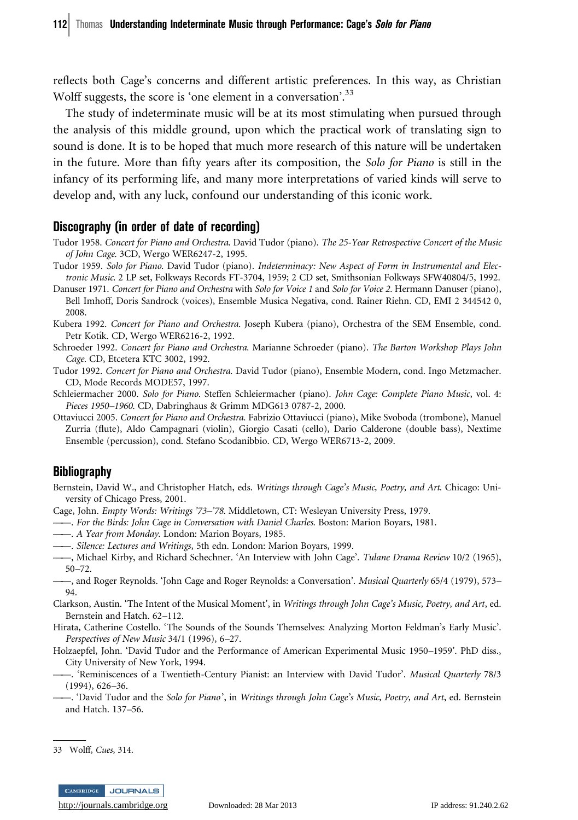reflects both Cage's concerns and different artistic preferences. In this way, as Christian Wolff suggests, the score is 'one element in a conversation'.<sup>33</sup>

The study of indeterminate music will be at its most stimulating when pursued through the analysis of this middle ground, upon which the practical work of translating sign to sound is done. It is to be hoped that much more research of this nature will be undertaken in the future. More than fifty years after its composition, the Solo for Piano is still in the infancy of its performing life, and many more interpretations of varied kinds will serve to develop and, with any luck, confound our understanding of this iconic work.

#### Discography (in order of date of recording)

- Tudor 1958. Concert for Piano and Orchestra. David Tudor (piano). The 25-Year Retrospective Concert of the Music of John Cage. 3CD, Wergo WER6247-2, 1995.
- Tudor 1959. Solo for Piano. David Tudor (piano). Indeterminacy: New Aspect of Form in Instrumental and Electronic Music. 2 LP set, Folkways Records FT-3704, 1959; 2 CD set, Smithsonian Folkways SFW40804/5, 1992.
- Danuser 1971. Concert for Piano and Orchestra with Solo for Voice 1 and Solo for Voice 2. Hermann Danuser (piano), Bell Imhoff, Doris Sandrock (voices), Ensemble Musica Negativa, cond. Rainer Riehn. CD, EMI 2 344542 0, 2008.
- Kubera 1992. Concert for Piano and Orchestra. Joseph Kubera (piano), Orchestra of the SEM Ensemble, cond. Petr Kotík. CD, Wergo WER6216-2, 1992.
- Schroeder 1992. Concert for Piano and Orchestra. Marianne Schroeder (piano). The Barton Workshop Plays John Cage. CD, Etcetera KTC 3002, 1992.
- Tudor 1992. Concert for Piano and Orchestra. David Tudor (piano), Ensemble Modern, cond. Ingo Metzmacher. CD, Mode Records MODE57, 1997.
- Schleiermacher 2000. Solo for Piano. Steffen Schleiermacher (piano). John Cage: Complete Piano Music, vol. 4: Pieces 1950–1960. CD, Dabringhaus & Grimm MDG613 0787-2, 2000.
- Ottaviucci 2005. Concert for Piano and Orchestra. Fabrizio Ottaviucci (piano), Mike Svoboda (trombone), Manuel Zurria (flute), Aldo Campagnari (violin), Giorgio Casati (cello), Dario Calderone (double bass), Nextime Ensemble (percussion), cond. Stefano Scodanibbio. CD, Wergo WER6713-2, 2009.

# **Bibliography**

- Bernstein, David W., and Christopher Hatch, eds. Writings through Cage's Music, Poetry, and Art. Chicago: University of Chicago Press, 2001.
- Cage, John. Empty Words: Writings '73–'78. Middletown, CT: Wesleyan University Press, 1979.
- ——. For the Birds: John Cage in Conversation with Daniel Charles. Boston: Marion Boyars, 1981.
- ——. A Year from Monday. London: Marion Boyars, 1985.
- ——. Silence: Lectures and Writings, 5th edn. London: Marion Boyars, 1999.
- ——, Michael Kirby, and Richard Schechner. 'An Interview with John Cage'. Tulane Drama Review 10/2 (1965), 50–72.
- ——, and Roger Reynolds. 'John Cage and Roger Reynolds: a Conversation'. Musical Quarterly 65/4 (1979), 573– 94.
- Clarkson, Austin. 'The Intent of the Musical Moment', in Writings through John Cage's Music, Poetry, and Art, ed. Bernstein and Hatch. 62–112.
- Hirata, Catherine Costello. 'The Sounds of the Sounds Themselves: Analyzing Morton Feldman's Early Music'. Perspectives of New Music 34/1 (1996), 6–27.
- Holzaepfel, John. 'David Tudor and the Performance of American Experimental Music 1950–1959'. PhD diss., City University of New York, 1994.
- ——. 'Reminiscences of a Twentieth-Century Pianist: an Interview with David Tudor'. Musical Quarterly 78/3 (1994), 626–36.
- -. 'David Tudor and the Solo for Piano', in Writings through John Cage's Music, Poetry, and Art, ed. Bernstein and Hatch. 137–56.

<sup>33</sup> Wolff, Cues, 314.